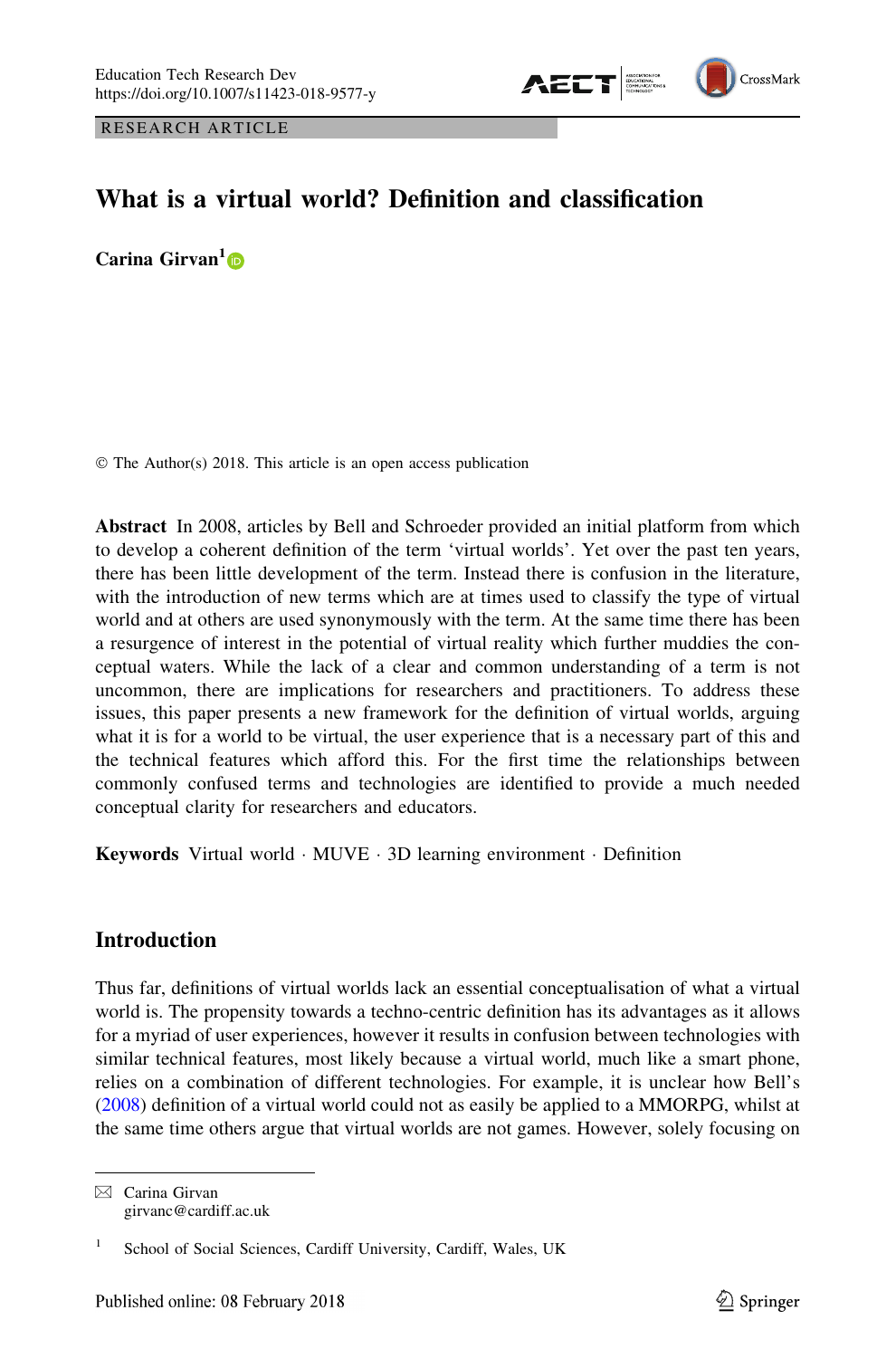



 $\tt AET$ 

CrossMark

Carina Girvan<sup>1</sup>

© The Author(s) 2018. This article is an open access publication

Abstract In 2008, articles by Bell and Schroeder provided an initial platform from which to develop a coherent definition of the term 'virtual worlds'. Yet over the past ten years, there has been little development of the term. Instead there is confusion in the literature, with the introduction of new terms which are at times used to classify the type of virtual world and at others are used synonymously with the term. At the same time there has been a resurgence of interest in the potential of virtual reality which further muddies the conceptual waters. While the lack of a clear and common understanding of a term is not uncommon, there are implications for researchers and practitioners. To address these issues, this paper presents a new framework for the definition of virtual worlds, arguing what it is for a world to be virtual, the user experience that is a necessary part of this and the technical features which afford this. For the first time the relationships between commonly confused terms and technologies are identified to provide a much needed conceptual clarity for researchers and educators.

Keywords Virtual world · MUVE · 3D learning environment · Definition

## Introduction

Thus far, definitions of virtual worlds lack an essential conceptualisation of what a virtual world is. The propensity towards a techno-centric definition has its advantages as it allows for a myriad of user experiences, however it results in confusion between technologies with similar technical features, most likely because a virtual world, much like a smart phone, relies on a combination of different technologies. For example, it is unclear how Bell's ([2008\)](#page-12-0) definition of a virtual world could not as easily be applied to a MMORPG, whilst at the same time others argue that virtual worlds are not games. However, solely focusing on

 $\boxtimes$  Carina Girvan girvanc@cardiff.ac.uk

<sup>&</sup>lt;sup>1</sup> School of Social Sciences, Cardiff University, Cardiff, Wales, UK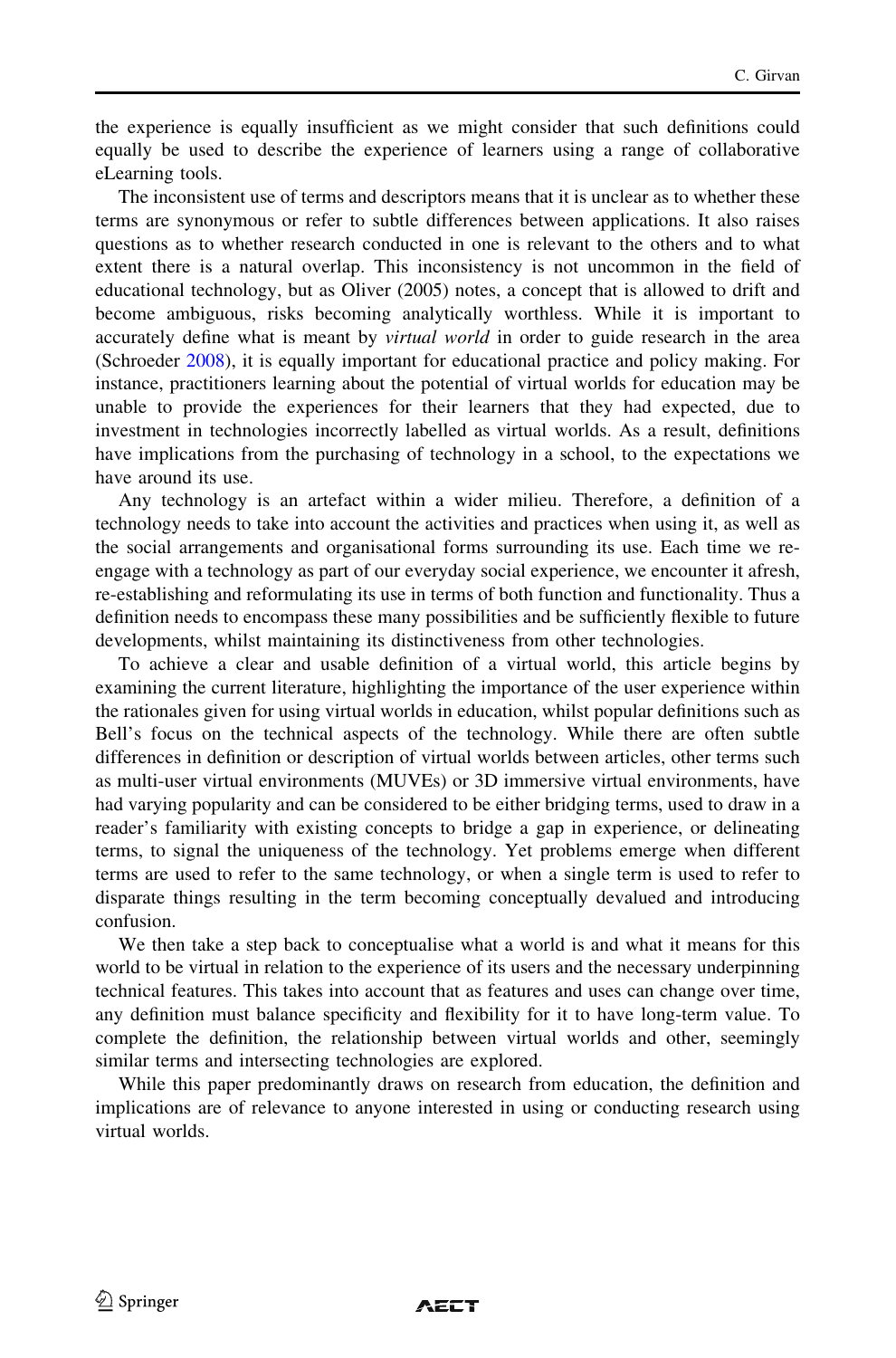the experience is equally insufficient as we might consider that such definitions could equally be used to describe the experience of learners using a range of collaborative eLearning tools.

The inconsistent use of terms and descriptors means that it is unclear as to whether these terms are synonymous or refer to subtle differences between applications. It also raises questions as to whether research conducted in one is relevant to the others and to what extent there is a natural overlap. This inconsistency is not uncommon in the field of educational technology, but as Oliver (2005) notes, a concept that is allowed to drift and become ambiguous, risks becoming analytically worthless. While it is important to accurately define what is meant by *virtual world* in order to guide research in the area (Schroeder [2008](#page-13-0)), it is equally important for educational practice and policy making. For instance, practitioners learning about the potential of virtual worlds for education may be unable to provide the experiences for their learners that they had expected, due to investment in technologies incorrectly labelled as virtual worlds. As a result, definitions have implications from the purchasing of technology in a school, to the expectations we have around its use.

Any technology is an artefact within a wider milieu. Therefore, a definition of a technology needs to take into account the activities and practices when using it, as well as the social arrangements and organisational forms surrounding its use. Each time we reengage with a technology as part of our everyday social experience, we encounter it afresh, re-establishing and reformulating its use in terms of both function and functionality. Thus a definition needs to encompass these many possibilities and be sufficiently flexible to future developments, whilst maintaining its distinctiveness from other technologies.

To achieve a clear and usable definition of a virtual world, this article begins by examining the current literature, highlighting the importance of the user experience within the rationales given for using virtual worlds in education, whilst popular definitions such as Bell's focus on the technical aspects of the technology. While there are often subtle differences in definition or description of virtual worlds between articles, other terms such as multi-user virtual environments (MUVEs) or 3D immersive virtual environments, have had varying popularity and can be considered to be either bridging terms, used to draw in a reader's familiarity with existing concepts to bridge a gap in experience, or delineating terms, to signal the uniqueness of the technology. Yet problems emerge when different terms are used to refer to the same technology, or when a single term is used to refer to disparate things resulting in the term becoming conceptually devalued and introducing confusion.

We then take a step back to conceptualise what a world is and what it means for this world to be virtual in relation to the experience of its users and the necessary underpinning technical features. This takes into account that as features and uses can change over time, any definition must balance specificity and flexibility for it to have long-term value. To complete the definition, the relationship between virtual worlds and other, seemingly similar terms and intersecting technologies are explored.

While this paper predominantly draws on research from education, the definition and implications are of relevance to anyone interested in using or conducting research using virtual worlds.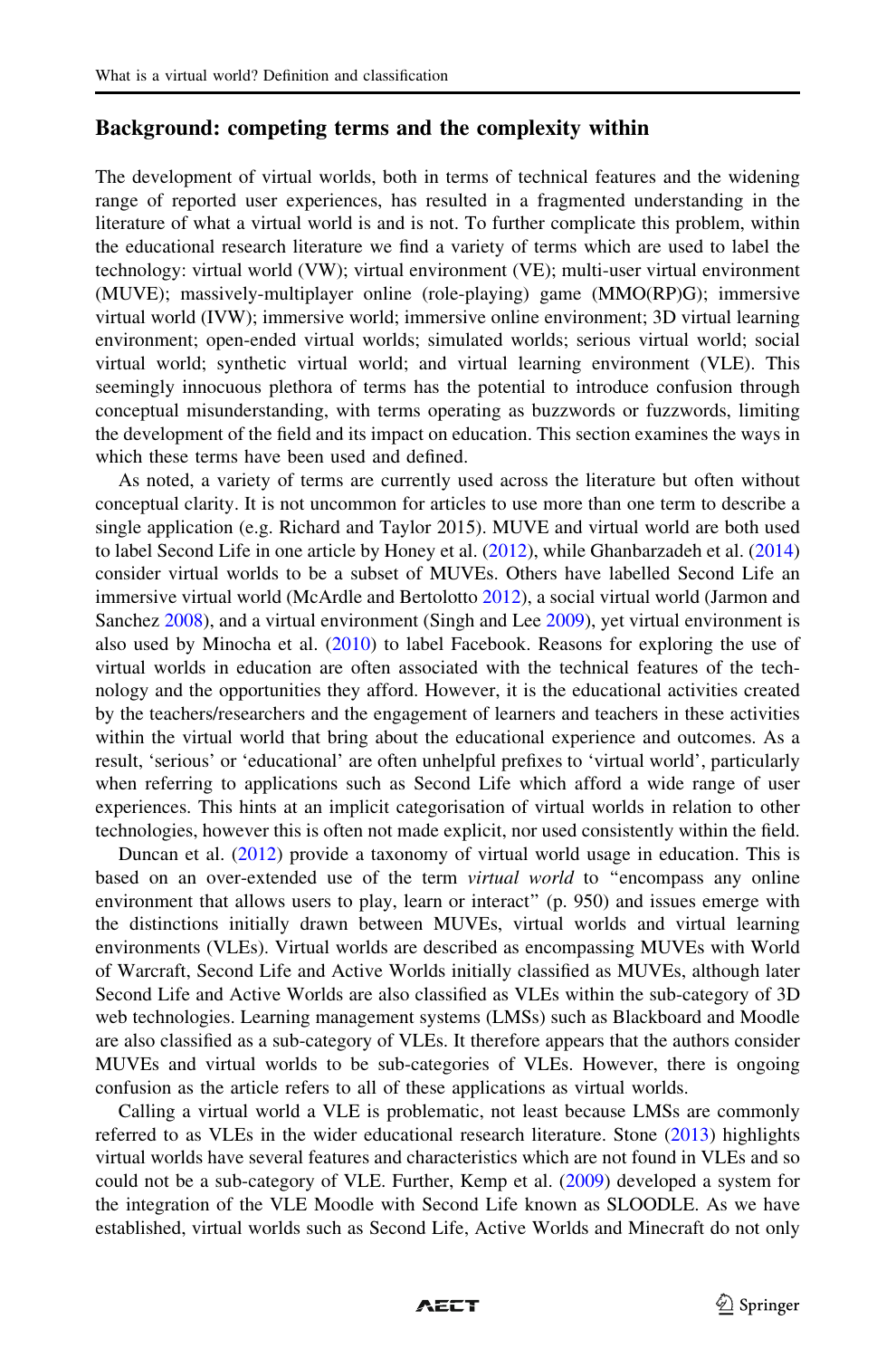### Background: competing terms and the complexity within

The development of virtual worlds, both in terms of technical features and the widening range of reported user experiences, has resulted in a fragmented understanding in the literature of what a virtual world is and is not. To further complicate this problem, within the educational research literature we find a variety of terms which are used to label the technology: virtual world (VW); virtual environment (VE); multi-user virtual environment (MUVE); massively-multiplayer online (role-playing) game (MMO(RP)G); immersive virtual world (IVW); immersive world; immersive online environment; 3D virtual learning environment; open-ended virtual worlds; simulated worlds; serious virtual world; social virtual world; synthetic virtual world; and virtual learning environment (VLE). This seemingly innocuous plethora of terms has the potential to introduce confusion through conceptual misunderstanding, with terms operating as buzzwords or fuzzwords, limiting the development of the field and its impact on education. This section examines the ways in which these terms have been used and defined.

As noted, a variety of terms are currently used across the literature but often without conceptual clarity. It is not uncommon for articles to use more than one term to describe a single application (e.g. Richard and Taylor 2015). MUVE and virtual world are both used to label Second Life in one article by Honey et al. ([2012\)](#page-13-0), while Ghanbarzadeh et al. ([2014](#page-12-0)) consider virtual worlds to be a subset of MUVEs. Others have labelled Second Life an immersive virtual world (McArdle and Bertolotto [2012\)](#page-13-0), a social virtual world (Jarmon and Sanchez [2008\)](#page-13-0), and a virtual environment (Singh and Lee [2009\)](#page-13-0), yet virtual environment is also used by Minocha et al. ([2010\)](#page-13-0) to label Facebook. Reasons for exploring the use of virtual worlds in education are often associated with the technical features of the technology and the opportunities they afford. However, it is the educational activities created by the teachers/researchers and the engagement of learners and teachers in these activities within the virtual world that bring about the educational experience and outcomes. As a result, 'serious' or 'educational' are often unhelpful prefixes to 'virtual world', particularly when referring to applications such as Second Life which afford a wide range of user experiences. This hints at an implicit categorisation of virtual worlds in relation to other technologies, however this is often not made explicit, nor used consistently within the field.

Duncan et al. ([2012\)](#page-12-0) provide a taxonomy of virtual world usage in education. This is based on an over-extended use of the term virtual world to "encompass any online environment that allows users to play, learn or interact'' (p. 950) and issues emerge with the distinctions initially drawn between MUVEs, virtual worlds and virtual learning environments (VLEs). Virtual worlds are described as encompassing MUVEs with World of Warcraft, Second Life and Active Worlds initially classified as MUVEs, although later Second Life and Active Worlds are also classified as VLEs within the sub-category of 3D web technologies. Learning management systems (LMSs) such as Blackboard and Moodle are also classified as a sub-category of VLEs. It therefore appears that the authors consider MUVEs and virtual worlds to be sub-categories of VLEs. However, there is ongoing confusion as the article refers to all of these applications as virtual worlds.

Calling a virtual world a VLE is problematic, not least because LMSs are commonly referred to as VLEs in the wider educational research literature. Stone  $(2013)$  $(2013)$  highlights virtual worlds have several features and characteristics which are not found in VLEs and so could not be a sub-category of VLE. Further, Kemp et al. ([2009\)](#page-13-0) developed a system for the integration of the VLE Moodle with Second Life known as SLOODLE. As we have established, virtual worlds such as Second Life, Active Worlds and Minecraft do not only

**AEET**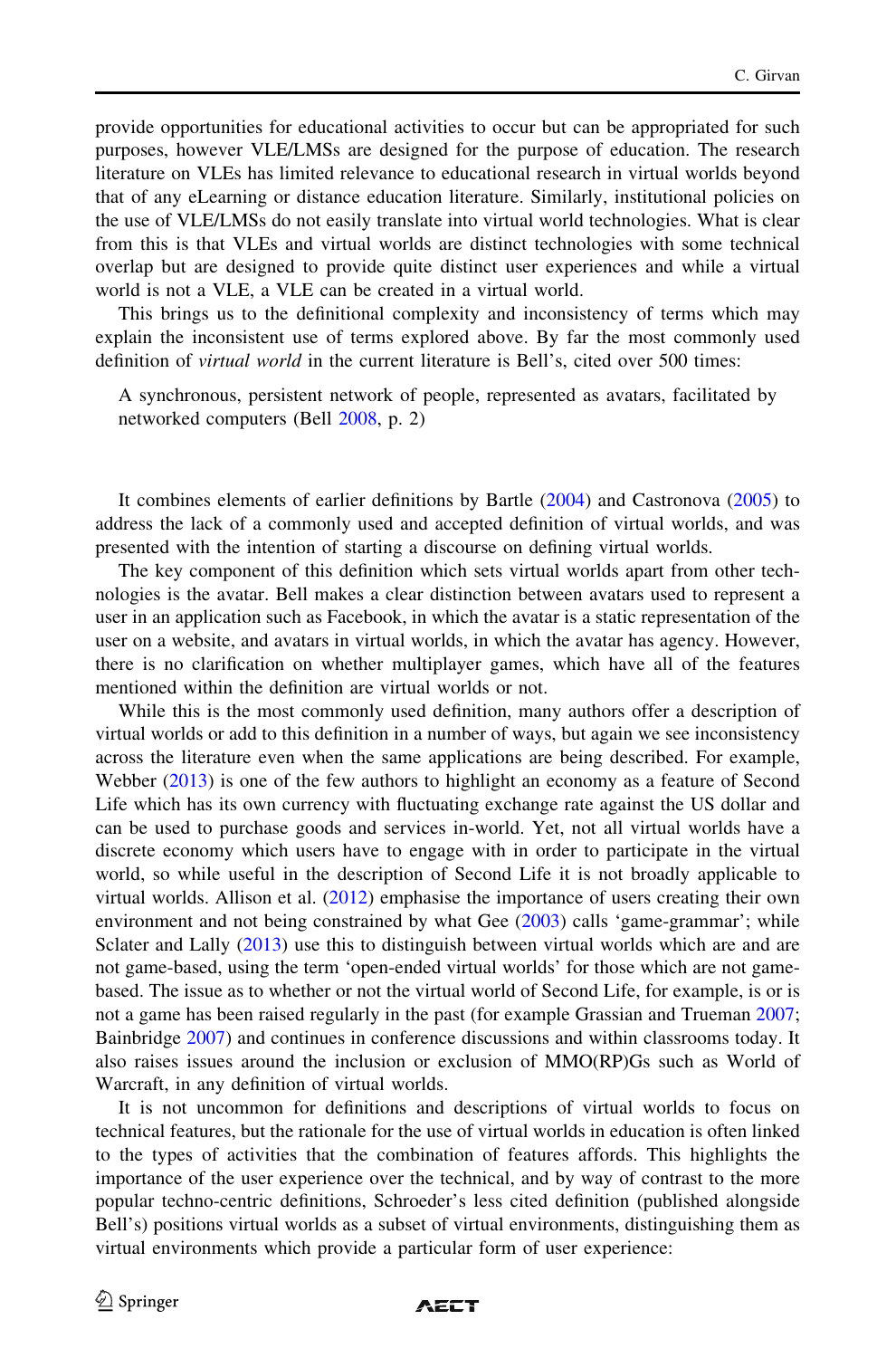provide opportunities for educational activities to occur but can be appropriated for such purposes, however VLE/LMSs are designed for the purpose of education. The research literature on VLEs has limited relevance to educational research in virtual worlds beyond that of any eLearning or distance education literature. Similarly, institutional policies on the use of VLE/LMSs do not easily translate into virtual world technologies. What is clear from this is that VLEs and virtual worlds are distinct technologies with some technical overlap but are designed to provide quite distinct user experiences and while a virtual world is not a VLE, a VLE can be created in a virtual world.

This brings us to the definitional complexity and inconsistency of terms which may explain the inconsistent use of terms explored above. By far the most commonly used definition of *virtual world* in the current literature is Bell's, cited over 500 times:

A synchronous, persistent network of people, represented as avatars, facilitated by networked computers (Bell [2008](#page-12-0), p. 2)

It combines elements of earlier definitions by Bartle [\(2004](#page-12-0)) and Castronova ([2005\)](#page-12-0) to address the lack of a commonly used and accepted definition of virtual worlds, and was presented with the intention of starting a discourse on defining virtual worlds.

The key component of this definition which sets virtual worlds apart from other technologies is the avatar. Bell makes a clear distinction between avatars used to represent a user in an application such as Facebook, in which the avatar is a static representation of the user on a website, and avatars in virtual worlds, in which the avatar has agency. However, there is no clarification on whether multiplayer games, which have all of the features mentioned within the definition are virtual worlds or not.

While this is the most commonly used definition, many authors offer a description of virtual worlds or add to this definition in a number of ways, but again we see inconsistency across the literature even when the same applications are being described. For example, Webber [\(2013\)](#page-13-0) is one of the few authors to highlight an economy as a feature of Second Life which has its own currency with fluctuating exchange rate against the US dollar and can be used to purchase goods and services in-world. Yet, not all virtual worlds have a discrete economy which users have to engage with in order to participate in the virtual world, so while useful in the description of Second Life it is not broadly applicable to virtual worlds. Allison et al. ([2012](#page-12-0)) emphasise the importance of users creating their own environment and not being constrained by what Gee  $(2003)$  $(2003)$  calls 'game-grammar'; while Sclater and Lally [\(2013](#page-13-0)) use this to distinguish between virtual worlds which are and are not game-based, using the term 'open-ended virtual worlds' for those which are not gamebased. The issue as to whether or not the virtual world of Second Life, for example, is or is not a game has been raised regularly in the past (for example Grassian and Trueman [2007;](#page-13-0) Bainbridge [2007\)](#page-12-0) and continues in conference discussions and within classrooms today. It also raises issues around the inclusion or exclusion of MMO(RP)Gs such as World of Warcraft, in any definition of virtual worlds.

It is not uncommon for definitions and descriptions of virtual worlds to focus on technical features, but the rationale for the use of virtual worlds in education is often linked to the types of activities that the combination of features affords. This highlights the importance of the user experience over the technical, and by way of contrast to the more popular techno-centric definitions, Schroeder's less cited definition (published alongside Bell's) positions virtual worlds as a subset of virtual environments, distinguishing them as virtual environments which provide a particular form of user experience: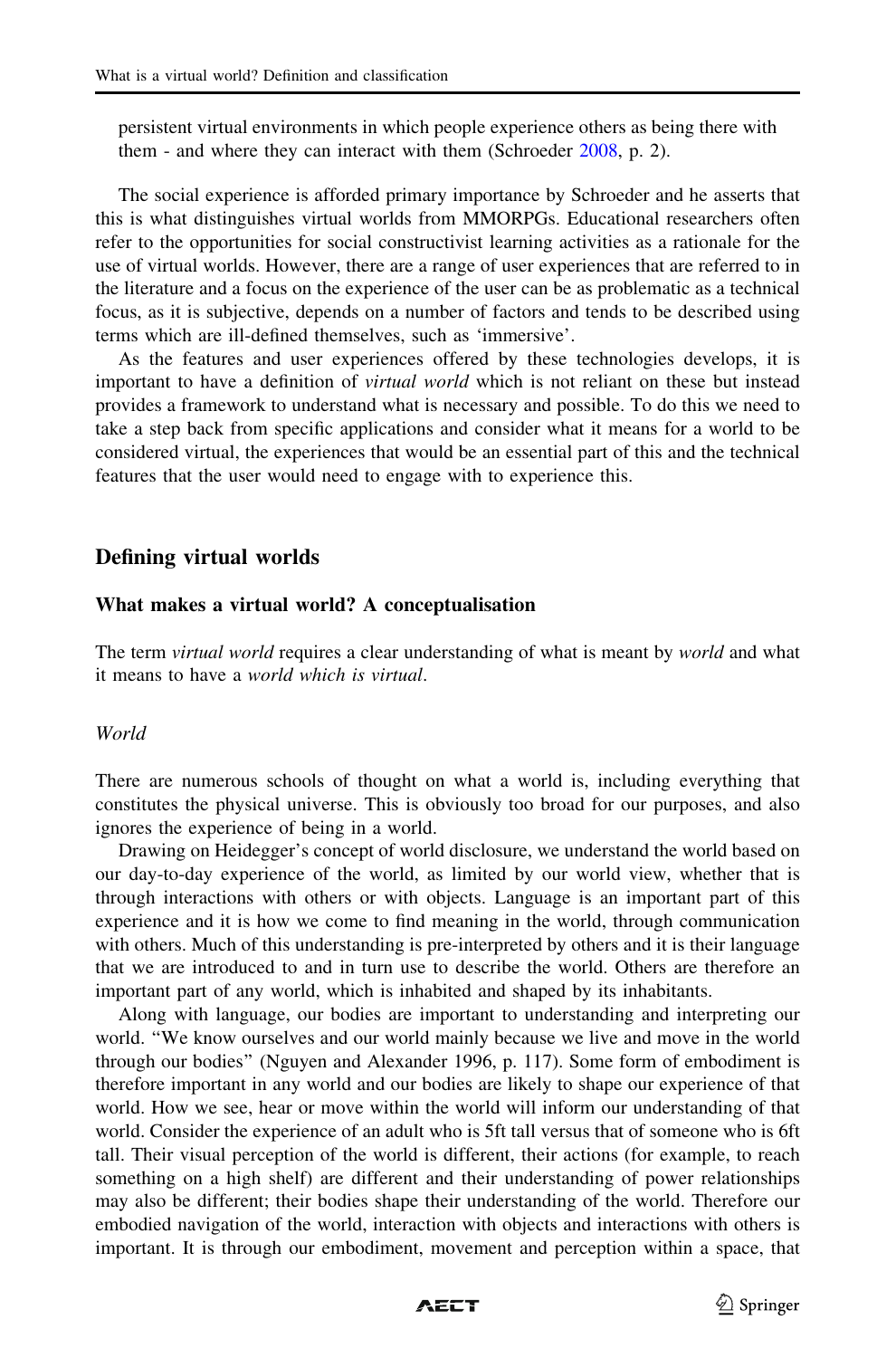persistent virtual environments in which people experience others as being there with them - and where they can interact with them (Schroeder [2008](#page-13-0), p. 2).

The social experience is afforded primary importance by Schroeder and he asserts that this is what distinguishes virtual worlds from MMORPGs. Educational researchers often refer to the opportunities for social constructivist learning activities as a rationale for the use of virtual worlds. However, there are a range of user experiences that are referred to in the literature and a focus on the experience of the user can be as problematic as a technical focus, as it is subjective, depends on a number of factors and tends to be described using terms which are ill-defined themselves, such as 'immersive'.

As the features and user experiences offered by these technologies develops, it is important to have a definition of virtual world which is not reliant on these but instead provides a framework to understand what is necessary and possible. To do this we need to take a step back from specific applications and consider what it means for a world to be considered virtual, the experiences that would be an essential part of this and the technical features that the user would need to engage with to experience this.

# Defining virtual worlds

## What makes a virtual world? A conceptualisation

The term *virtual world* requires a clear understanding of what is meant by *world* and what it means to have a world which is virtual.

## World

There are numerous schools of thought on what a world is, including everything that constitutes the physical universe. This is obviously too broad for our purposes, and also ignores the experience of being in a world.

Drawing on Heidegger's concept of world disclosure, we understand the world based on our day-to-day experience of the world, as limited by our world view, whether that is through interactions with others or with objects. Language is an important part of this experience and it is how we come to find meaning in the world, through communication with others. Much of this understanding is pre-interpreted by others and it is their language that we are introduced to and in turn use to describe the world. Others are therefore an important part of any world, which is inhabited and shaped by its inhabitants.

Along with language, our bodies are important to understanding and interpreting our world. ''We know ourselves and our world mainly because we live and move in the world through our bodies'' (Nguyen and Alexander 1996, p. 117). Some form of embodiment is therefore important in any world and our bodies are likely to shape our experience of that world. How we see, hear or move within the world will inform our understanding of that world. Consider the experience of an adult who is 5ft tall versus that of someone who is 6ft tall. Their visual perception of the world is different, their actions (for example, to reach something on a high shelf) are different and their understanding of power relationships may also be different; their bodies shape their understanding of the world. Therefore our embodied navigation of the world, interaction with objects and interactions with others is important. It is through our embodiment, movement and perception within a space, that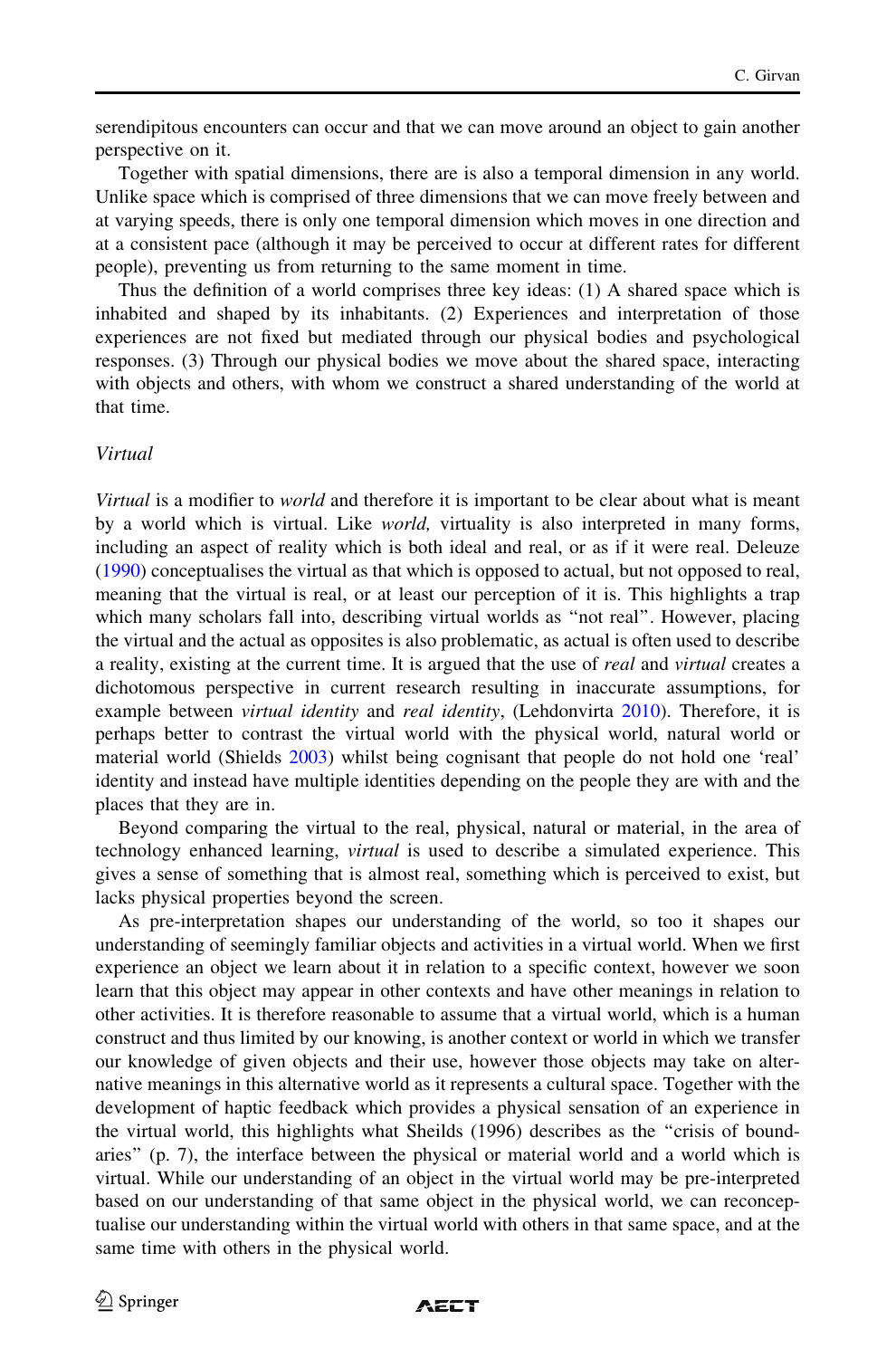serendipitous encounters can occur and that we can move around an object to gain another perspective on it.

Together with spatial dimensions, there are is also a temporal dimension in any world. Unlike space which is comprised of three dimensions that we can move freely between and at varying speeds, there is only one temporal dimension which moves in one direction and at a consistent pace (although it may be perceived to occur at different rates for different people), preventing us from returning to the same moment in time.

Thus the definition of a world comprises three key ideas: (1) A shared space which is inhabited and shaped by its inhabitants. (2) Experiences and interpretation of those experiences are not fixed but mediated through our physical bodies and psychological responses. (3) Through our physical bodies we move about the shared space, interacting with objects and others, with whom we construct a shared understanding of the world at that time.

### Virtual

Virtual is a modifier to *world* and therefore it is important to be clear about what is meant by a world which is virtual. Like *world*, virtuality is also interpreted in many forms, including an aspect of reality which is both ideal and real, or as if it were real. Deleuze ([1990\)](#page-12-0) conceptualises the virtual as that which is opposed to actual, but not opposed to real, meaning that the virtual is real, or at least our perception of it is. This highlights a trap which many scholars fall into, describing virtual worlds as ''not real''. However, placing the virtual and the actual as opposites is also problematic, as actual is often used to describe a reality, existing at the current time. It is argued that the use of *real* and *virtual* creates a dichotomous perspective in current research resulting in inaccurate assumptions, for example between *virtual identity* and *real identity*, (Lehdonvirta [2010](#page-13-0)). Therefore, it is perhaps better to contrast the virtual world with the physical world, natural world or material world (Shields [2003\)](#page-13-0) whilst being cognisant that people do not hold one 'real' identity and instead have multiple identities depending on the people they are with and the places that they are in.

Beyond comparing the virtual to the real, physical, natural or material, in the area of technology enhanced learning, *virtual* is used to describe a simulated experience. This gives a sense of something that is almost real, something which is perceived to exist, but lacks physical properties beyond the screen.

As pre-interpretation shapes our understanding of the world, so too it shapes our understanding of seemingly familiar objects and activities in a virtual world. When we first experience an object we learn about it in relation to a specific context, however we soon learn that this object may appear in other contexts and have other meanings in relation to other activities. It is therefore reasonable to assume that a virtual world, which is a human construct and thus limited by our knowing, is another context or world in which we transfer our knowledge of given objects and their use, however those objects may take on alternative meanings in this alternative world as it represents a cultural space. Together with the development of haptic feedback which provides a physical sensation of an experience in the virtual world, this highlights what Sheilds (1996) describes as the ''crisis of boundaries'' (p. 7), the interface between the physical or material world and a world which is virtual. While our understanding of an object in the virtual world may be pre-interpreted based on our understanding of that same object in the physical world, we can reconceptualise our understanding within the virtual world with others in that same space, and at the same time with others in the physical world.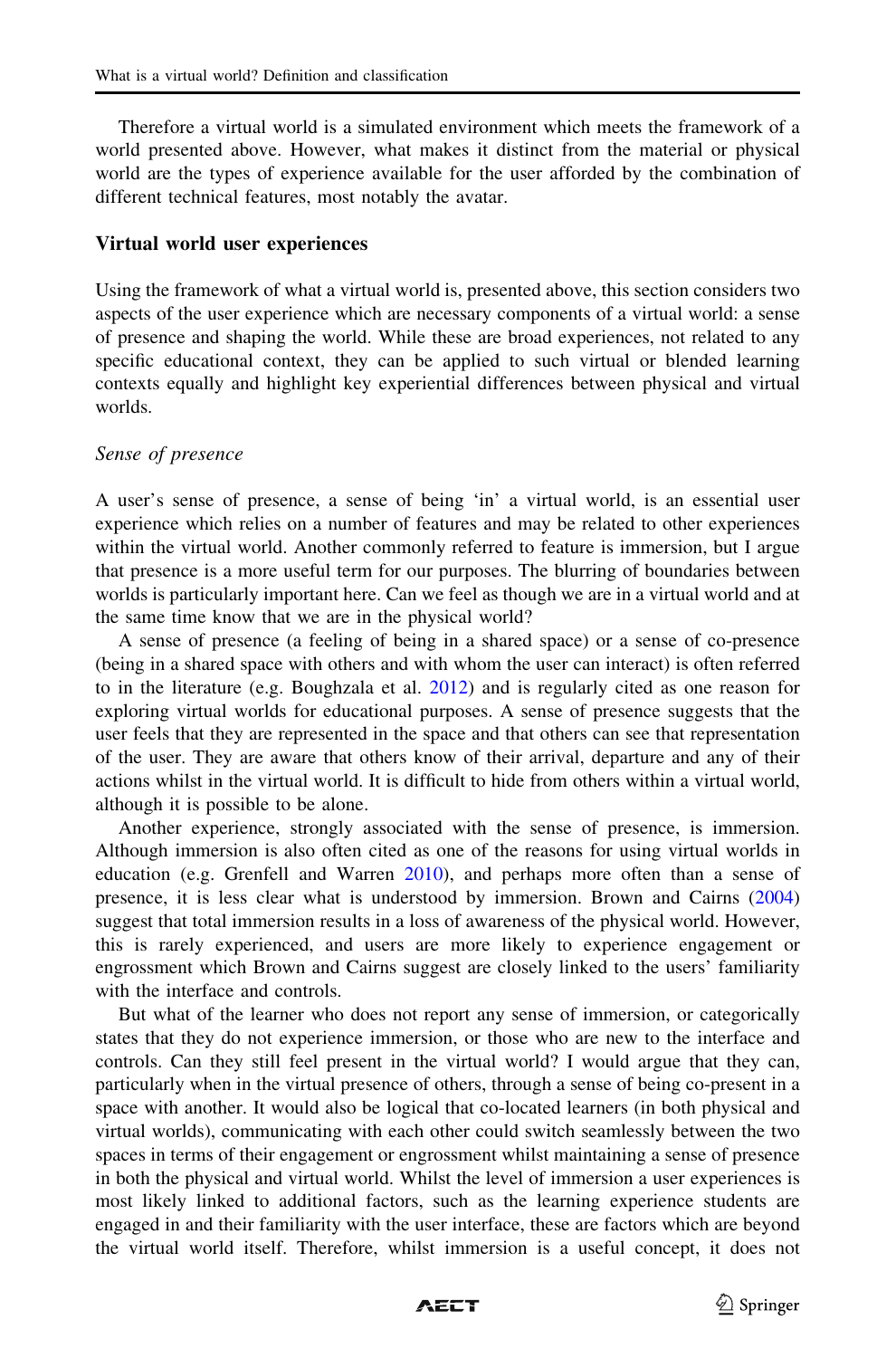Therefore a virtual world is a simulated environment which meets the framework of a world presented above. However, what makes it distinct from the material or physical world are the types of experience available for the user afforded by the combination of different technical features, most notably the avatar.

## Virtual world user experiences

Using the framework of what a virtual world is, presented above, this section considers two aspects of the user experience which are necessary components of a virtual world: a sense of presence and shaping the world. While these are broad experiences, not related to any specific educational context, they can be applied to such virtual or blended learning contexts equally and highlight key experiential differences between physical and virtual worlds.

## Sense of presence

A user's sense of presence, a sense of being 'in' a virtual world, is an essential user experience which relies on a number of features and may be related to other experiences within the virtual world. Another commonly referred to feature is immersion, but I argue that presence is a more useful term for our purposes. The blurring of boundaries between worlds is particularly important here. Can we feel as though we are in a virtual world and at the same time know that we are in the physical world?

A sense of presence (a feeling of being in a shared space) or a sense of co-presence (being in a shared space with others and with whom the user can interact) is often referred to in the literature (e.g. Boughzala et al. [2012\)](#page-12-0) and is regularly cited as one reason for exploring virtual worlds for educational purposes. A sense of presence suggests that the user feels that they are represented in the space and that others can see that representation of the user. They are aware that others know of their arrival, departure and any of their actions whilst in the virtual world. It is difficult to hide from others within a virtual world, although it is possible to be alone.

Another experience, strongly associated with the sense of presence, is immersion. Although immersion is also often cited as one of the reasons for using virtual worlds in education (e.g. Grenfell and Warren [2010](#page-13-0)), and perhaps more often than a sense of presence, it is less clear what is understood by immersion. Brown and Cairns ([2004](#page-12-0)) suggest that total immersion results in a loss of awareness of the physical world. However, this is rarely experienced, and users are more likely to experience engagement or engrossment which Brown and Cairns suggest are closely linked to the users' familiarity with the interface and controls.

But what of the learner who does not report any sense of immersion, or categorically states that they do not experience immersion, or those who are new to the interface and controls. Can they still feel present in the virtual world? I would argue that they can, particularly when in the virtual presence of others, through a sense of being co-present in a space with another. It would also be logical that co-located learners (in both physical and virtual worlds), communicating with each other could switch seamlessly between the two spaces in terms of their engagement or engrossment whilst maintaining a sense of presence in both the physical and virtual world. Whilst the level of immersion a user experiences is most likely linked to additional factors, such as the learning experience students are engaged in and their familiarity with the user interface, these are factors which are beyond the virtual world itself. Therefore, whilst immersion is a useful concept, it does not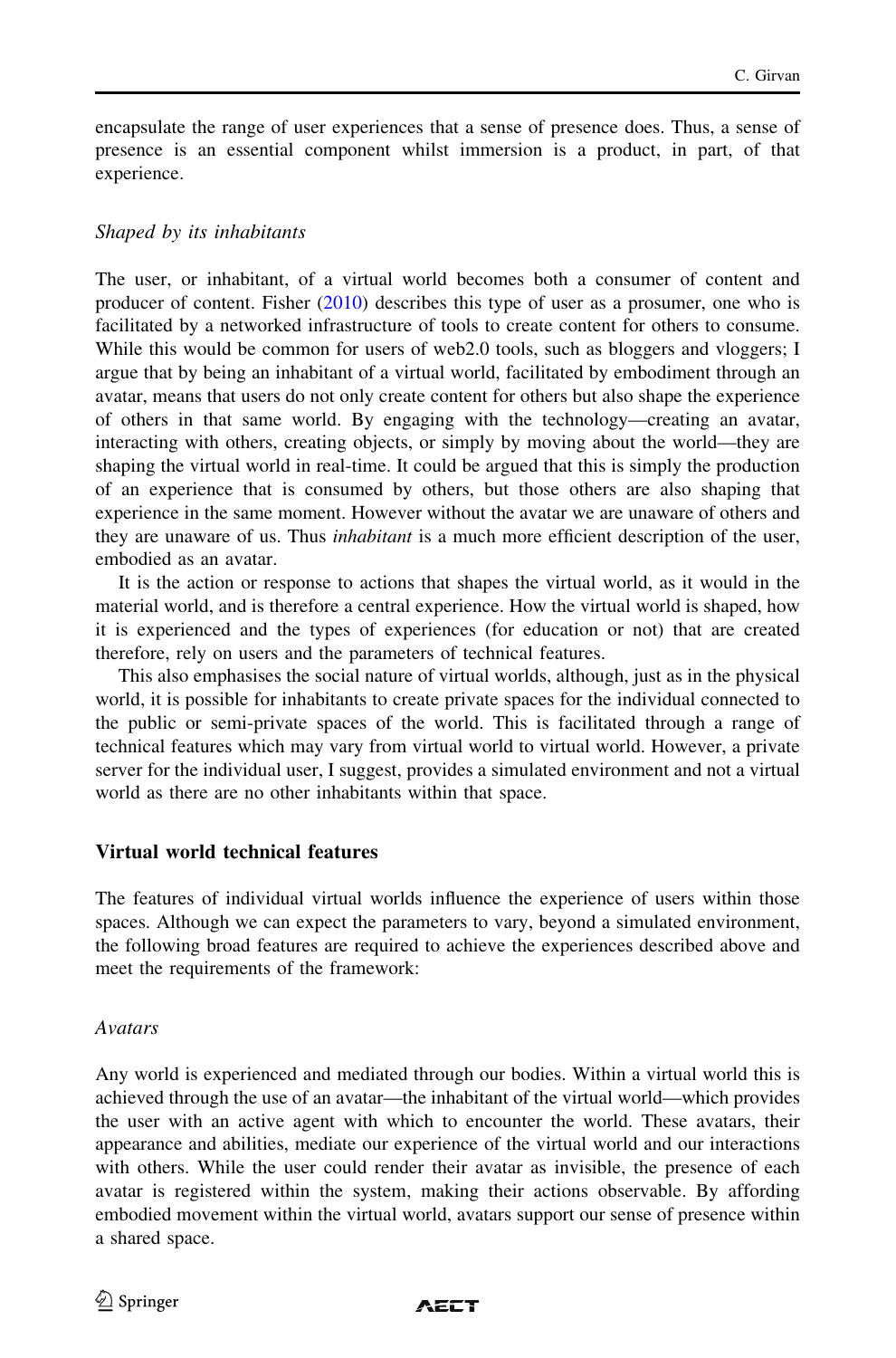encapsulate the range of user experiences that a sense of presence does. Thus, a sense of presence is an essential component whilst immersion is a product, in part, of that experience.

#### Shaped by its inhabitants

The user, or inhabitant, of a virtual world becomes both a consumer of content and producer of content. Fisher ([2010\)](#page-12-0) describes this type of user as a prosumer, one who is facilitated by a networked infrastructure of tools to create content for others to consume. While this would be common for users of web2.0 tools, such as bloggers and vloggers; I argue that by being an inhabitant of a virtual world, facilitated by embodiment through an avatar, means that users do not only create content for others but also shape the experience of others in that same world. By engaging with the technology—creating an avatar, interacting with others, creating objects, or simply by moving about the world—they are shaping the virtual world in real-time. It could be argued that this is simply the production of an experience that is consumed by others, but those others are also shaping that experience in the same moment. However without the avatar we are unaware of others and they are unaware of us. Thus inhabitant is a much more efficient description of the user, embodied as an avatar.

It is the action or response to actions that shapes the virtual world, as it would in the material world, and is therefore a central experience. How the virtual world is shaped, how it is experienced and the types of experiences (for education or not) that are created therefore, rely on users and the parameters of technical features.

This also emphasises the social nature of virtual worlds, although, just as in the physical world, it is possible for inhabitants to create private spaces for the individual connected to the public or semi-private spaces of the world. This is facilitated through a range of technical features which may vary from virtual world to virtual world. However, a private server for the individual user, I suggest, provides a simulated environment and not a virtual world as there are no other inhabitants within that space.

### Virtual world technical features

The features of individual virtual worlds influence the experience of users within those spaces. Although we can expect the parameters to vary, beyond a simulated environment, the following broad features are required to achieve the experiences described above and meet the requirements of the framework:

#### Avatars

Any world is experienced and mediated through our bodies. Within a virtual world this is achieved through the use of an avatar—the inhabitant of the virtual world—which provides the user with an active agent with which to encounter the world. These avatars, their appearance and abilities, mediate our experience of the virtual world and our interactions with others. While the user could render their avatar as invisible, the presence of each avatar is registered within the system, making their actions observable. By affording embodied movement within the virtual world, avatars support our sense of presence within a shared space.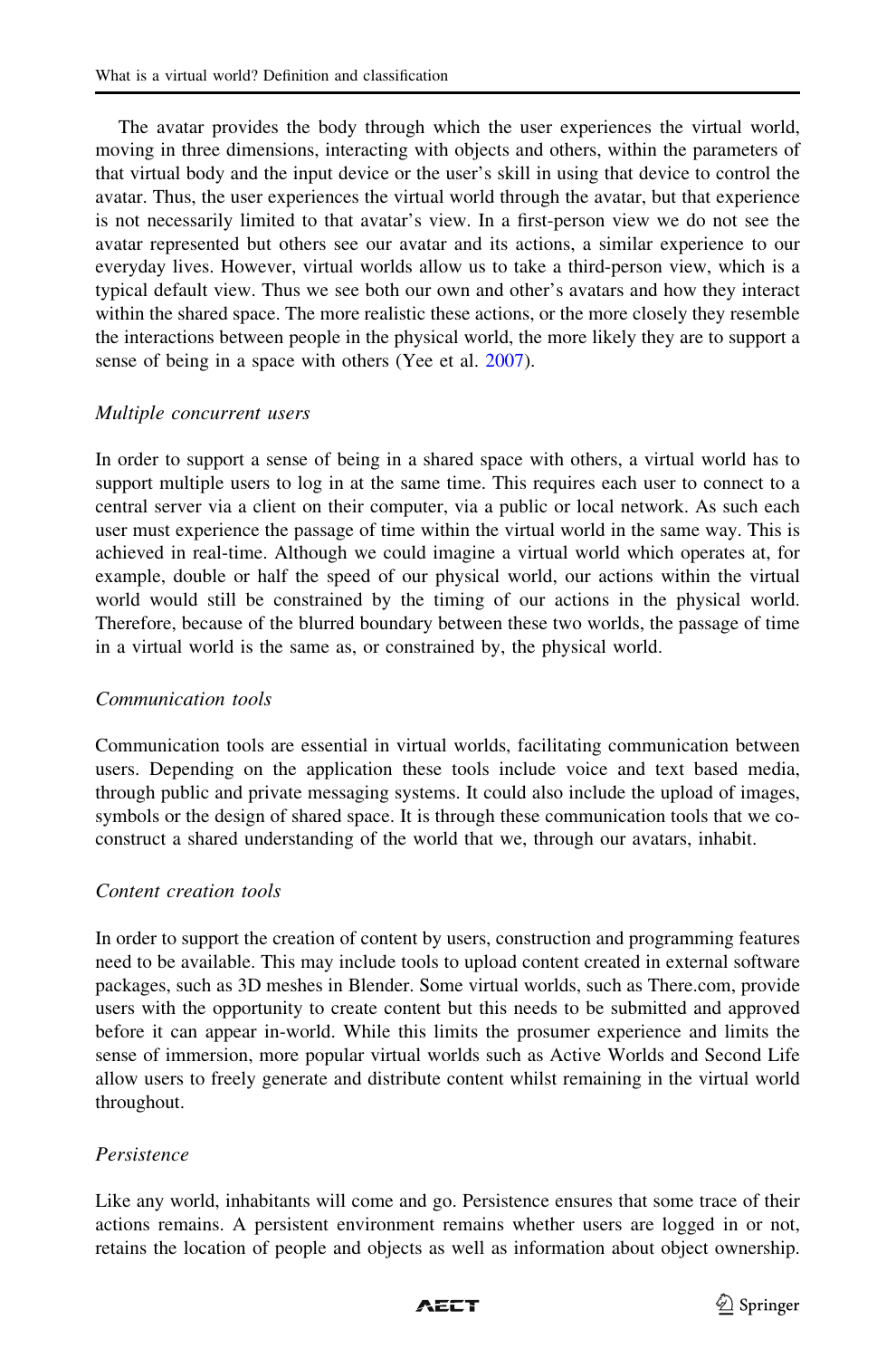The avatar provides the body through which the user experiences the virtual world, moving in three dimensions, interacting with objects and others, within the parameters of that virtual body and the input device or the user's skill in using that device to control the avatar. Thus, the user experiences the virtual world through the avatar, but that experience is not necessarily limited to that avatar's view. In a first-person view we do not see the avatar represented but others see our avatar and its actions, a similar experience to our everyday lives. However, virtual worlds allow us to take a third-person view, which is a typical default view. Thus we see both our own and other's avatars and how they interact within the shared space. The more realistic these actions, or the more closely they resemble the interactions between people in the physical world, the more likely they are to support a sense of being in a space with others (Yee et al. [2007](#page-13-0)).

## Multiple concurrent users

In order to support a sense of being in a shared space with others, a virtual world has to support multiple users to log in at the same time. This requires each user to connect to a central server via a client on their computer, via a public or local network. As such each user must experience the passage of time within the virtual world in the same way. This is achieved in real-time. Although we could imagine a virtual world which operates at, for example, double or half the speed of our physical world, our actions within the virtual world would still be constrained by the timing of our actions in the physical world. Therefore, because of the blurred boundary between these two worlds, the passage of time in a virtual world is the same as, or constrained by, the physical world.

## Communication tools

Communication tools are essential in virtual worlds, facilitating communication between users. Depending on the application these tools include voice and text based media, through public and private messaging systems. It could also include the upload of images, symbols or the design of shared space. It is through these communication tools that we coconstruct a shared understanding of the world that we, through our avatars, inhabit.

## Content creation tools

In order to support the creation of content by users, construction and programming features need to be available. This may include tools to upload content created in external software packages, such as 3D meshes in Blender. Some virtual worlds, such as There.com, provide users with the opportunity to create content but this needs to be submitted and approved before it can appear in-world. While this limits the prosumer experience and limits the sense of immersion, more popular virtual worlds such as Active Worlds and Second Life allow users to freely generate and distribute content whilst remaining in the virtual world throughout.

# Persistence

Like any world, inhabitants will come and go. Persistence ensures that some trace of their actions remains. A persistent environment remains whether users are logged in or not, retains the location of people and objects as well as information about object ownership.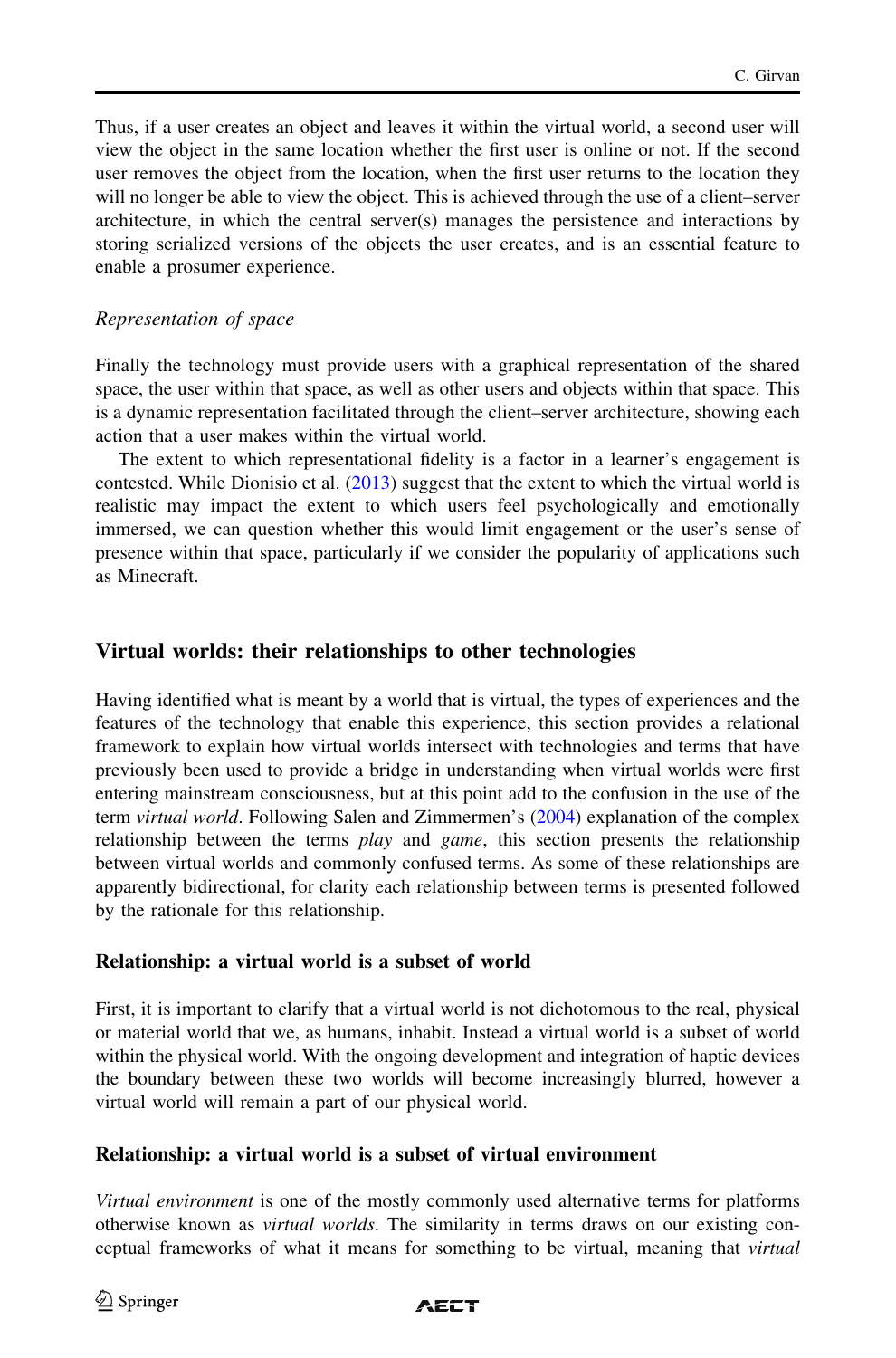Thus, if a user creates an object and leaves it within the virtual world, a second user will view the object in the same location whether the first user is online or not. If the second user removes the object from the location, when the first user returns to the location they will no longer be able to view the object. This is achieved through the use of a client–server architecture, in which the central server(s) manages the persistence and interactions by storing serialized versions of the objects the user creates, and is an essential feature to enable a prosumer experience.

#### Representation of space

Finally the technology must provide users with a graphical representation of the shared space, the user within that space, as well as other users and objects within that space. This is a dynamic representation facilitated through the client–server architecture, showing each action that a user makes within the virtual world.

The extent to which representational fidelity is a factor in a learner's engagement is contested. While Dionisio et al. ([2013\)](#page-12-0) suggest that the extent to which the virtual world is realistic may impact the extent to which users feel psychologically and emotionally immersed, we can question whether this would limit engagement or the user's sense of presence within that space, particularly if we consider the popularity of applications such as Minecraft.

## Virtual worlds: their relationships to other technologies

Having identified what is meant by a world that is virtual, the types of experiences and the features of the technology that enable this experience, this section provides a relational framework to explain how virtual worlds intersect with technologies and terms that have previously been used to provide a bridge in understanding when virtual worlds were first entering mainstream consciousness, but at this point add to the confusion in the use of the term virtual world. Following Salen and Zimmermen's [\(2004](#page-13-0)) explanation of the complex relationship between the terms *play* and *game*, this section presents the relationship between virtual worlds and commonly confused terms. As some of these relationships are apparently bidirectional, for clarity each relationship between terms is presented followed by the rationale for this relationship.

## Relationship: a virtual world is a subset of world

First, it is important to clarify that a virtual world is not dichotomous to the real, physical or material world that we, as humans, inhabit. Instead a virtual world is a subset of world within the physical world. With the ongoing development and integration of haptic devices the boundary between these two worlds will become increasingly blurred, however a virtual world will remain a part of our physical world.

### Relationship: a virtual world is a subset of virtual environment

Virtual environment is one of the mostly commonly used alternative terms for platforms otherwise known as virtual worlds. The similarity in terms draws on our existing conceptual frameworks of what it means for something to be virtual, meaning that virtual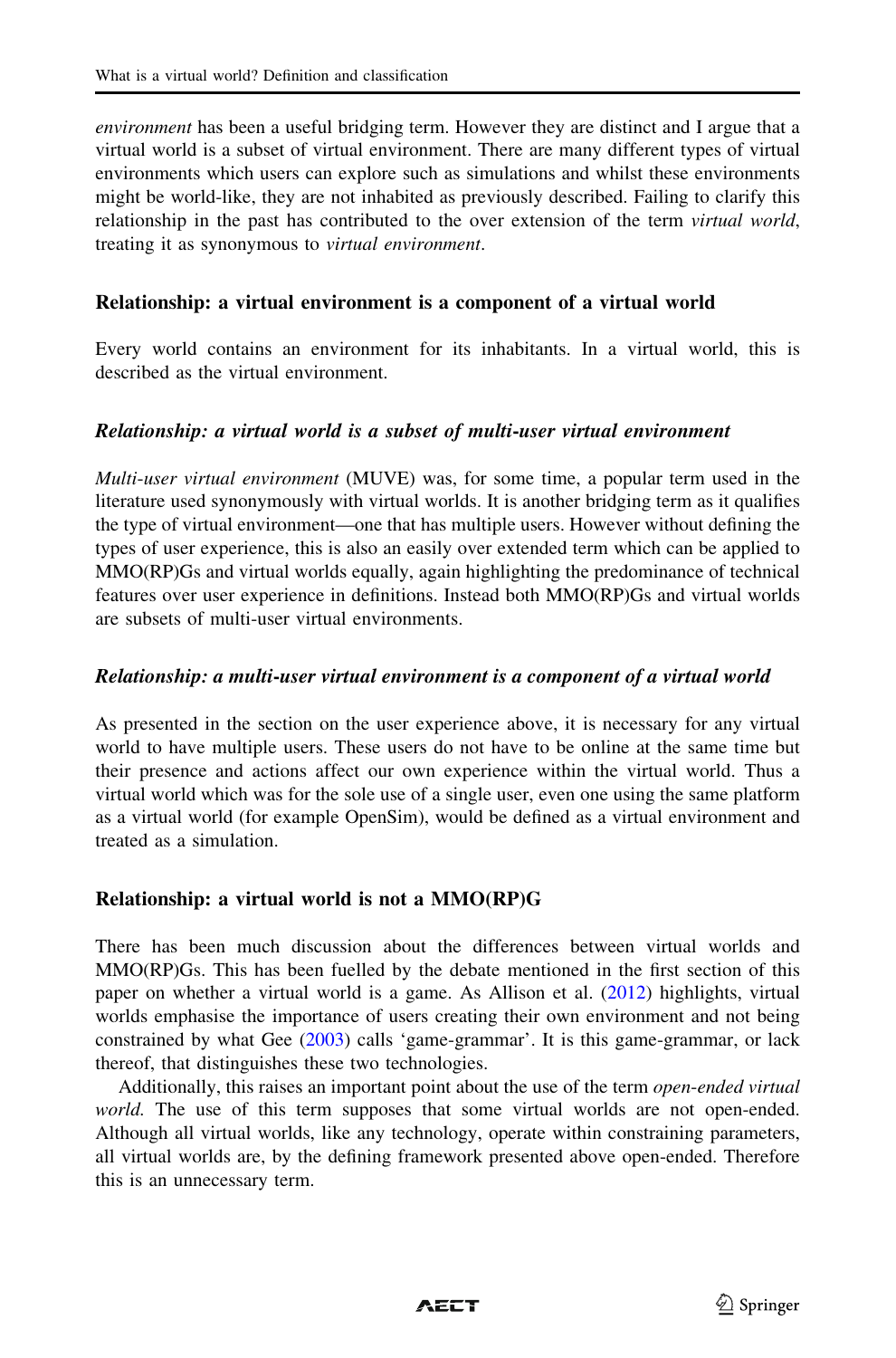environment has been a useful bridging term. However they are distinct and I argue that a virtual world is a subset of virtual environment. There are many different types of virtual environments which users can explore such as simulations and whilst these environments might be world-like, they are not inhabited as previously described. Failing to clarify this relationship in the past has contributed to the over extension of the term *virtual world*, treating it as synonymous to virtual environment.

## Relationship: a virtual environment is a component of a virtual world

Every world contains an environment for its inhabitants. In a virtual world, this is described as the virtual environment.

## Relationship: a virtual world is a subset of multi-user virtual environment

Multi-user virtual environment (MUVE) was, for some time, a popular term used in the literature used synonymously with virtual worlds. It is another bridging term as it qualifies the type of virtual environment—one that has multiple users. However without defining the types of user experience, this is also an easily over extended term which can be applied to MMO(RP)Gs and virtual worlds equally, again highlighting the predominance of technical features over user experience in definitions. Instead both MMO(RP)Gs and virtual worlds are subsets of multi-user virtual environments.

## Relationship: a multi-user virtual environment is a component of a virtual world

As presented in the section on the user experience above, it is necessary for any virtual world to have multiple users. These users do not have to be online at the same time but their presence and actions affect our own experience within the virtual world. Thus a virtual world which was for the sole use of a single user, even one using the same platform as a virtual world (for example OpenSim), would be defined as a virtual environment and treated as a simulation.

### Relationship: a virtual world is not a MMO(RP)G

There has been much discussion about the differences between virtual worlds and MMO(RP)Gs. This has been fuelled by the debate mentioned in the first section of this paper on whether a virtual world is a game. As Allison et al. [\(2012\)](#page-12-0) highlights, virtual worlds emphasise the importance of users creating their own environment and not being constrained by what Gee [\(2003\)](#page-12-0) calls 'game-grammar'. It is this game-grammar, or lack thereof, that distinguishes these two technologies.

Additionally, this raises an important point about the use of the term open-ended virtual world. The use of this term supposes that some virtual worlds are not open-ended. Although all virtual worlds, like any technology, operate within constraining parameters, all virtual worlds are, by the defining framework presented above open-ended. Therefore this is an unnecessary term.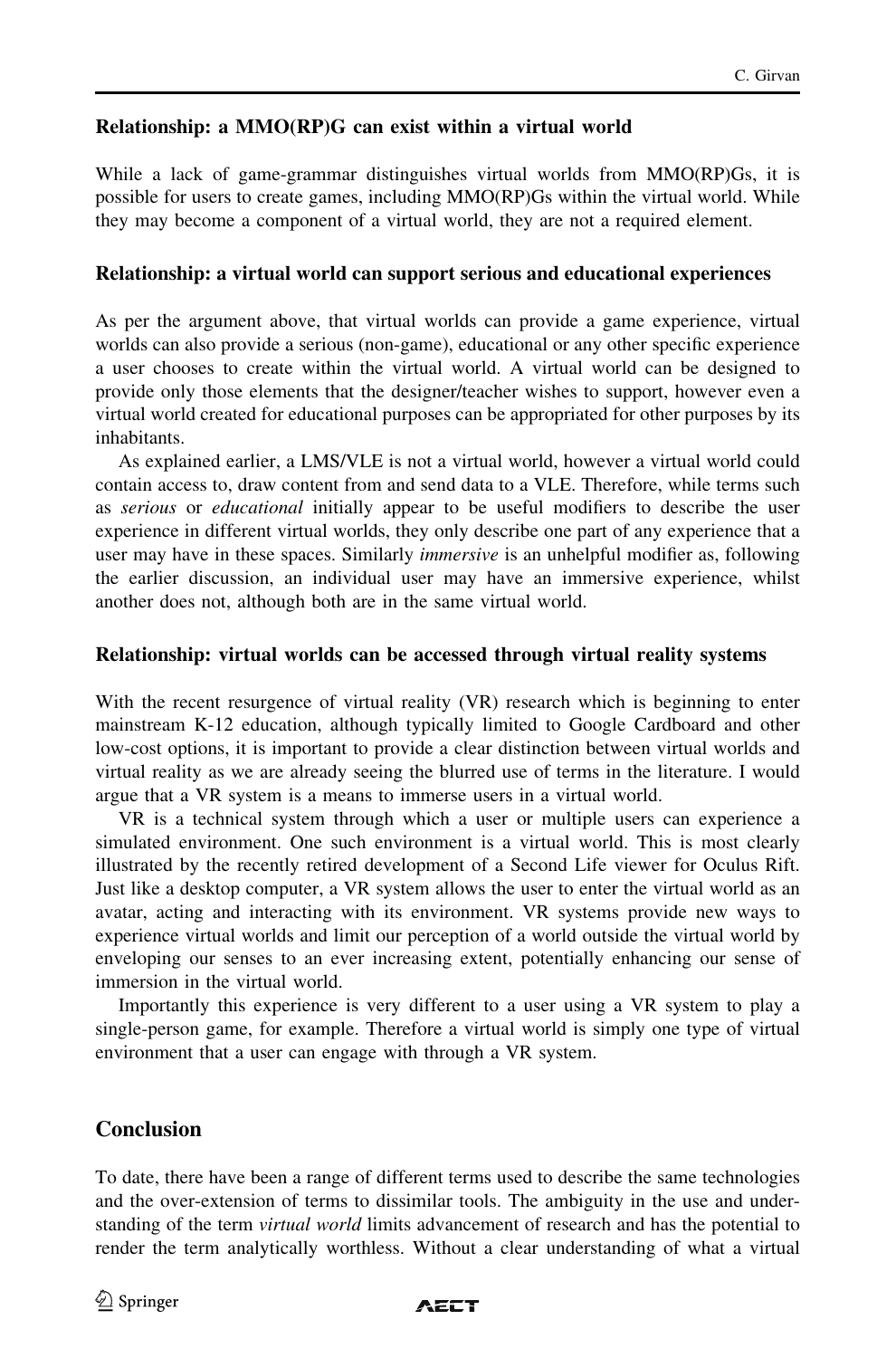### Relationship: a MMO(RP)G can exist within a virtual world

While a lack of game-grammar distinguishes virtual worlds from MMO(RP)Gs, it is possible for users to create games, including MMO(RP)Gs within the virtual world. While they may become a component of a virtual world, they are not a required element.

#### Relationship: a virtual world can support serious and educational experiences

As per the argument above, that virtual worlds can provide a game experience, virtual worlds can also provide a serious (non-game), educational or any other specific experience a user chooses to create within the virtual world. A virtual world can be designed to provide only those elements that the designer/teacher wishes to support, however even a virtual world created for educational purposes can be appropriated for other purposes by its inhabitants.

As explained earlier, a LMS/VLE is not a virtual world, however a virtual world could contain access to, draw content from and send data to a VLE. Therefore, while terms such as *serious* or *educational* initially appear to be useful modifiers to describe the user experience in different virtual worlds, they only describe one part of any experience that a user may have in these spaces. Similarly *immersive* is an unhelpful modifier as, following the earlier discussion, an individual user may have an immersive experience, whilst another does not, although both are in the same virtual world.

#### Relationship: virtual worlds can be accessed through virtual reality systems

With the recent resurgence of virtual reality (VR) research which is beginning to enter mainstream K-12 education, although typically limited to Google Cardboard and other low-cost options, it is important to provide a clear distinction between virtual worlds and virtual reality as we are already seeing the blurred use of terms in the literature. I would argue that a VR system is a means to immerse users in a virtual world.

VR is a technical system through which a user or multiple users can experience a simulated environment. One such environment is a virtual world. This is most clearly illustrated by the recently retired development of a Second Life viewer for Oculus Rift. Just like a desktop computer, a VR system allows the user to enter the virtual world as an avatar, acting and interacting with its environment. VR systems provide new ways to experience virtual worlds and limit our perception of a world outside the virtual world by enveloping our senses to an ever increasing extent, potentially enhancing our sense of immersion in the virtual world.

Importantly this experience is very different to a user using a VR system to play a single-person game, for example. Therefore a virtual world is simply one type of virtual environment that a user can engage with through a VR system.

## Conclusion

To date, there have been a range of different terms used to describe the same technologies and the over-extension of terms to dissimilar tools. The ambiguity in the use and understanding of the term *virtual world* limits advancement of research and has the potential to render the term analytically worthless. Without a clear understanding of what a virtual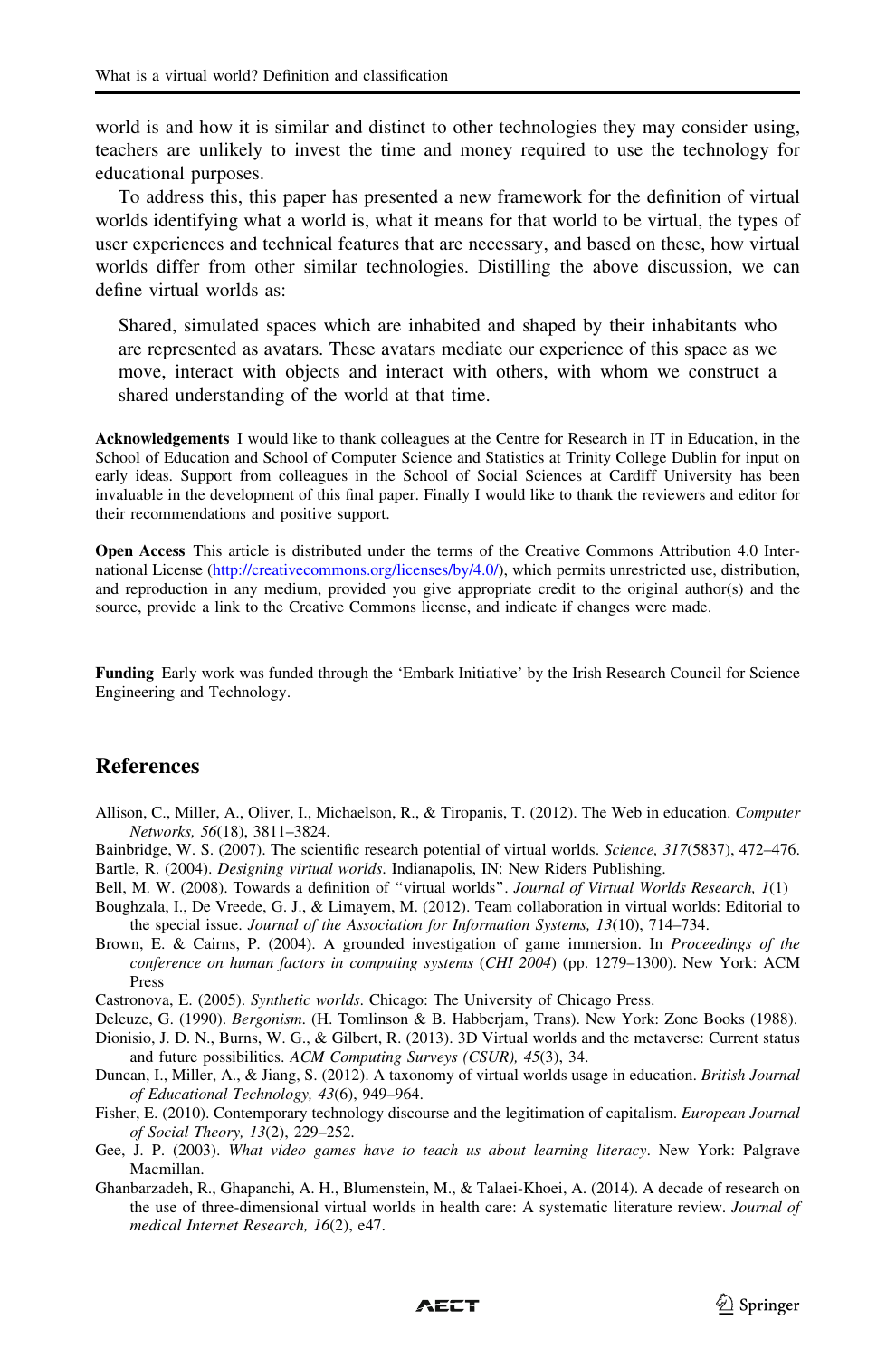<span id="page-12-0"></span>world is and how it is similar and distinct to other technologies they may consider using, teachers are unlikely to invest the time and money required to use the technology for educational purposes.

To address this, this paper has presented a new framework for the definition of virtual worlds identifying what a world is, what it means for that world to be virtual, the types of user experiences and technical features that are necessary, and based on these, how virtual worlds differ from other similar technologies. Distilling the above discussion, we can define virtual worlds as:

Shared, simulated spaces which are inhabited and shaped by their inhabitants who are represented as avatars. These avatars mediate our experience of this space as we move, interact with objects and interact with others, with whom we construct a shared understanding of the world at that time.

Acknowledgements I would like to thank colleagues at the Centre for Research in IT in Education, in the School of Education and School of Computer Science and Statistics at Trinity College Dublin for input on early ideas. Support from colleagues in the School of Social Sciences at Cardiff University has been invaluable in the development of this final paper. Finally I would like to thank the reviewers and editor for their recommendations and positive support.

Open Access This article is distributed under the terms of the Creative Commons Attribution 4.0 International License [\(http://creativecommons.org/licenses/by/4.0/\)](http://creativecommons.org/licenses/by/4.0/), which permits unrestricted use, distribution, and reproduction in any medium, provided you give appropriate credit to the original author(s) and the source, provide a link to the Creative Commons license, and indicate if changes were made.

Funding Early work was funded through the 'Embark Initiative' by the Irish Research Council for Science Engineering and Technology.

## **References**

- Allison, C., Miller, A., Oliver, I., Michaelson, R., & Tiropanis, T. (2012). The Web in education. Computer Networks, 56(18), 3811–3824.
- Bainbridge, W. S. (2007). The scientific research potential of virtual worlds. Science, 317(5837), 472–476. Bartle, R. (2004). Designing virtual worlds. Indianapolis, IN: New Riders Publishing.
- Bell, M. W. (2008). Towards a definition of "virtual worlds". Journal of Virtual Worlds Research, 1(1)
- Boughzala, I., De Vreede, G. J., & Limayem, M. (2012). Team collaboration in virtual worlds: Editorial to the special issue. Journal of the Association for Information Systems, 13(10), 714–734.
- Brown, E. & Cairns, P. (2004). A grounded investigation of game immersion. In *Proceedings of the* conference on human factors in computing systems (CHI 2004) (pp. 1279–1300). New York: ACM Press

Castronova, E. (2005). Synthetic worlds. Chicago: The University of Chicago Press.

- Deleuze, G. (1990). Bergonism. (H. Tomlinson & B. Habberjam, Trans). New York: Zone Books (1988).
- Dionisio, J. D. N., Burns, W. G., & Gilbert, R. (2013). 3D Virtual worlds and the metaverse: Current status and future possibilities. ACM Computing Surveys (CSUR), 45(3), 34.
- Duncan, I., Miller, A., & Jiang, S. (2012). A taxonomy of virtual worlds usage in education. British Journal of Educational Technology, 43(6), 949–964.
- Fisher, E. (2010). Contemporary technology discourse and the legitimation of capitalism. European Journal of Social Theory, 13(2), 229–252.
- Gee, J. P. (2003). What video games have to teach us about learning literacy. New York: Palgrave Macmillan.
- Ghanbarzadeh, R., Ghapanchi, A. H., Blumenstein, M., & Talaei-Khoei, A. (2014). A decade of research on the use of three-dimensional virtual worlds in health care: A systematic literature review. Journal of medical Internet Research, 16(2), e47.